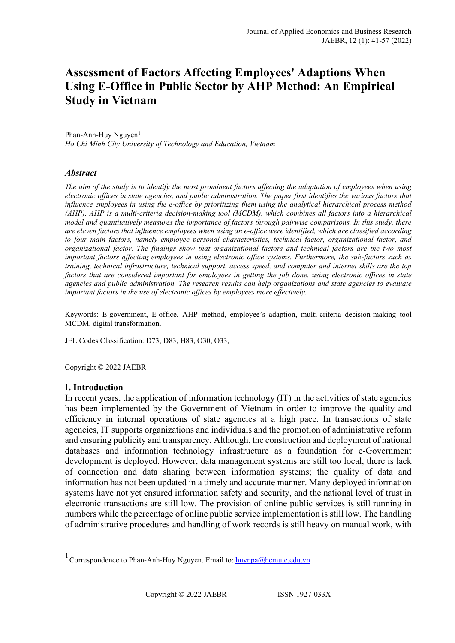# **Assessment of Factors Affecting Employees' Adaptions When Using E-Office in Public Sector by AHP Method: An Empirical Study in Vietnam**

Phan-Anh-Huy Nguyen $<sup>1</sup>$  $<sup>1</sup>$  $<sup>1</sup>$ </sup> *Ho Chi Minh City University of Technology and Education, Vietnam*

# *Abstract*

*The aim of the study is to identify the most prominent factors affecting the adaptation of employees when using electronic offices in state agencies, and public administration. The paper first identifies the various factors that influence employees in using the e-office by prioritizing them using the analytical hierarchical process method (AHP). AHP is a multi-criteria decision-making tool (MCDM), which combines all factors into a hierarchical model and quantitatively measures the importance of factors through pairwise comparisons. In this study, there are eleven factors that influence employees when using an e-office were identified, which are classified according to four main factors, namely employee personal characteristics, technical factor, organizational factor, and organizational factor. The findings show that organizational factors and technical factors are the two most important factors affecting employees in using electronic office systems. Furthermore, the sub-factors such as training, technical infrastructure, technical support, access speed, and computer and internet skills are the top factors that are considered important for employees in getting the job done. using electronic offices in state agencies and public administration. The research results can help organizations and state agencies to evaluate important factors in the use of electronic offices by employees more effectively.*

Keywords: E-government, E-office, AHP method, employee's adaption, multi-criteria decision-making tool MCDM, digital transformation.

JEL Codes Classification: D73, D83, H83, O30, O33,

Copyright © 2022 JAEBR

### **1. Introduction**

In recent years, the application of information technology (IT) in the activities of state agencies has been implemented by the Government of Vietnam in order to improve the quality and efficiency in internal operations of state agencies at a high pace. In transactions of state agencies, IT supports organizations and individuals and the promotion of administrative reform and ensuring publicity and transparency. Although, the construction and deployment of national databases and information technology infrastructure as a foundation for e-Government development is deployed. However, data management systems are still too local, there is lack of connection and data sharing between information systems; the quality of data and information has not been updated in a timely and accurate manner. Many deployed information systems have not yet ensured information safety and security, and the national level of trust in electronic transactions are still low. The provision of online public services is still running in numbers while the percentage of online public service implementation is still low. The handling of administrative procedures and handling of work records is still heavy on manual work, with

<span id="page-0-0"></span><sup>&</sup>lt;sup>1</sup> Correspondence to Phan-Anh-Huy Nguyen. Email to: [huynpa@hcmute.edu.vn](mailto:huynpa@hcmute.edu.vn)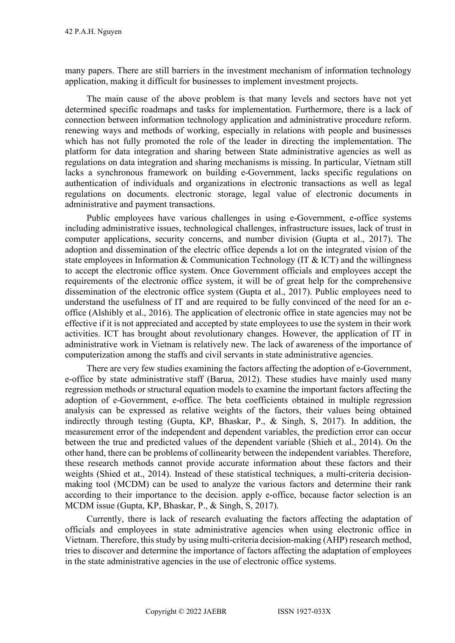many papers. There are still barriers in the investment mechanism of information technology application, making it difficult for businesses to implement investment projects.

The main cause of the above problem is that many levels and sectors have not yet determined specific roadmaps and tasks for implementation. Furthermore, there is a lack of connection between information technology application and administrative procedure reform. renewing ways and methods of working, especially in relations with people and businesses which has not fully promoted the role of the leader in directing the implementation. The platform for data integration and sharing between State administrative agencies as well as regulations on data integration and sharing mechanisms is missing. In particular, Vietnam still lacks a synchronous framework on building e-Government, lacks specific regulations on authentication of individuals and organizations in electronic transactions as well as legal regulations on documents. electronic storage, legal value of electronic documents in administrative and payment transactions.

Public employees have various challenges in using e-Government, e-office systems including administrative issues, technological challenges, infrastructure issues, lack of trust in computer applications, security concerns, and number division (Gupta et al., 2017). The adoption and dissemination of the electric office depends a lot on the integrated vision of the state employees in Information  $&$  Communication Technology (IT  $&$  ICT) and the willingness to accept the electronic office system. Once Government officials and employees accept the requirements of the electronic office system, it will be of great help for the comprehensive dissemination of the electronic office system (Gupta et al., 2017). Public employees need to understand the usefulness of IT and are required to be fully convinced of the need for an eoffice (Alshibly et al., 2016). The application of electronic office in state agencies may not be effective if it is not appreciated and accepted by state employees to use the system in their work activities. ICT has brought about revolutionary changes. However, the application of IT in administrative work in Vietnam is relatively new. The lack of awareness of the importance of computerization among the staffs and civil servants in state administrative agencies.

There are very few studies examining the factors affecting the adoption of e-Government, e-office by state administrative staff (Barua, 2012). These studies have mainly used many regression methods or structural equation models to examine the important factors affecting the adoption of e-Government, e-office. The beta coefficients obtained in multiple regression analysis can be expressed as relative weights of the factors, their values being obtained indirectly through testing (Gupta, KP, Bhaskar, P., & Singh, S, 2017). In addition, the measurement error of the independent and dependent variables, the prediction error can occur between the true and predicted values of the dependent variable (Shieh et al., 2014). On the other hand, there can be problems of collinearity between the independent variables. Therefore, these research methods cannot provide accurate information about these factors and their weights (Shied et at., 2014). Instead of these statistical techniques, a multi-criteria decisionmaking tool (MCDM) can be used to analyze the various factors and determine their rank according to their importance to the decision. apply e-office, because factor selection is an MCDM issue (Gupta, KP, Bhaskar, P., & Singh, S, 2017).

Currently, there is lack of research evaluating the factors affecting the adaptation of officials and employees in state administrative agencies when using electronic office in Vietnam. Therefore, this study by using multi-criteria decision-making (AHP) research method, tries to discover and determine the importance of factors affecting the adaptation of employees in the state administrative agencies in the use of electronic office systems.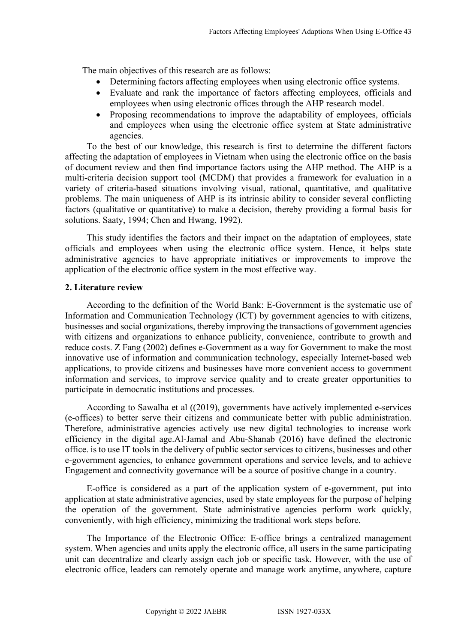The main objectives of this research are as follows:

- Determining factors affecting employees when using electronic office systems.
- Evaluate and rank the importance of factors affecting employees, officials and employees when using electronic offices through the AHP research model.
- Proposing recommendations to improve the adaptability of employees, officials and employees when using the electronic office system at State administrative agencies.

To the best of our knowledge, this research is first to determine the different factors affecting the adaptation of employees in Vietnam when using the electronic office on the basis of document review and then find importance factors using the AHP method. The AHP is a multi-criteria decision support tool (MCDM) that provides a framework for evaluation in a variety of criteria-based situations involving visual, rational, quantitative, and qualitative problems. The main uniqueness of AHP is its intrinsic ability to consider several conflicting factors (qualitative or quantitative) to make a decision, thereby providing a formal basis for solutions. Saaty, 1994; Chen and Hwang, 1992).

This study identifies the factors and their impact on the adaptation of employees, state officials and employees when using the electronic office system. Hence, it helps state administrative agencies to have appropriate initiatives or improvements to improve the application of the electronic office system in the most effective way.

# **2. Literature review**

According to the definition of the World Bank: E-Government is the systematic use of Information and Communication Technology (ICT) by government agencies to with citizens, businesses and social organizations, thereby improving the transactions of government agencies with citizens and organizations to enhance publicity, convenience, contribute to growth and reduce costs. Z Fang (2002) defines e-Government as a way for Government to make the most innovative use of information and communication technology, especially Internet-based web applications, to provide citizens and businesses have more convenient access to government information and services, to improve service quality and to create greater opportunities to participate in democratic institutions and processes.

According to Sawalha et al ((2019), governments have actively implemented e-services (e-offices) to better serve their citizens and communicate better with public administration. Therefore, administrative agencies actively use new digital technologies to increase work efficiency in the digital age.Al-Jamal and Abu-Shanab (2016) have defined the electronic office. is to use IT tools in the delivery of public sector services to citizens, businesses and other e-government agencies, to enhance government operations and service levels, and to achieve Engagement and connectivity governance will be a source of positive change in a country.

E-office is considered as a part of the application system of e-government, put into application at state administrative agencies, used by state employees for the purpose of helping the operation of the government. State administrative agencies perform work quickly, conveniently, with high efficiency, minimizing the traditional work steps before.

The Importance of the Electronic Office: E-office brings a centralized management system. When agencies and units apply the electronic office, all users in the same participating unit can decentralize and clearly assign each job or specific task. However, with the use of electronic office, leaders can remotely operate and manage work anytime, anywhere, capture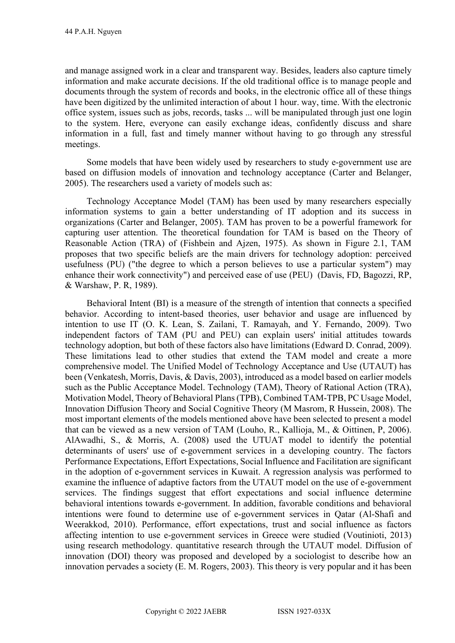and manage assigned work in a clear and transparent way. Besides, leaders also capture timely information and make accurate decisions. If the old traditional office is to manage people and documents through the system of records and books, in the electronic office all of these things have been digitized by the unlimited interaction of about 1 hour. way, time. With the electronic office system, issues such as jobs, records, tasks ... will be manipulated through just one login to the system. Here, everyone can easily exchange ideas, confidently discuss and share information in a full, fast and timely manner without having to go through any stressful meetings.

Some models that have been widely used by researchers to study e-government use are based on diffusion models of innovation and technology acceptance (Carter and Belanger, 2005). The researchers used a variety of models such as:

Technology Acceptance Model (TAM) has been used by many researchers especially information systems to gain a better understanding of IT adoption and its success in organizations (Carter and Belanger, 2005). TAM has proven to be a powerful framework for capturing user attention. The theoretical foundation for TAM is based on the Theory of Reasonable Action (TRA) of (Fishbein and Ajzen, 1975). As shown in Figure 2.1, TAM proposes that two specific beliefs are the main drivers for technology adoption: perceived usefulness (PU) ("the degree to which a person believes to use a particular system") may enhance their work connectivity") and perceived ease of use (PEU) (Davis, FD, Bagozzi, RP, & Warshaw, P. R, 1989).

Behavioral Intent (BI) is a measure of the strength of intention that connects a specified behavior. According to intent-based theories, user behavior and usage are influenced by intention to use IT (O. K. Lean, S. Zailani, T. Ramayah, and Y. Fernando, 2009). Two independent factors of TAM (PU and PEU) can explain users' initial attitudes towards technology adoption, but both of these factors also have limitations (Edward D. Conrad, 2009). These limitations lead to other studies that extend the TAM model and create a more comprehensive model. The Unified Model of Technology Acceptance and Use (UTAUT) has been (Venkatesh, Morris, Davis, & Davis, 2003), introduced as a model based on earlier models such as the Public Acceptance Model. Technology (TAM), Theory of Rational Action (TRA), Motivation Model, Theory of Behavioral Plans (TPB), Combined TAM-TPB, PC Usage Model, Innovation Diffusion Theory and Social Cognitive Theory (M Masrom, R Hussein, 2008). The most important elements of the models mentioned above have been selected to present a model that can be viewed as a new version of TAM (Louho, R., Kallioja, M., & Oittinen, P, 2006). AlAwadhi, S., & Morris, A. (2008) used the UTUAT model to identify the potential determinants of users' use of e-government services in a developing country. The factors Performance Expectations, Effort Expectations, Social Influence and Facilitation are significant in the adoption of e-government services in Kuwait. A regression analysis was performed to examine the influence of adaptive factors from the UTAUT model on the use of e-government services. The findings suggest that effort expectations and social influence determine behavioral intentions towards e-government. In addition, favorable conditions and behavioral intentions were found to determine use of e-government services in Qatar (Al-Shafi and Weerakkod, 2010). Performance, effort expectations, trust and social influence as factors affecting intention to use e-government services in Greece were studied (Voutinioti, 2013) using research methodology. quantitative research through the UTAUT model. Diffusion of innovation (DOI) theory was proposed and developed by a sociologist to describe how an innovation pervades a society (E. M. Rogers, 2003). This theory is very popular and it has been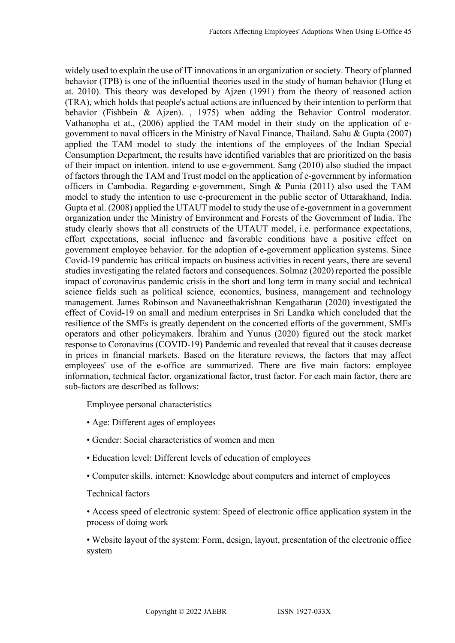widely used to explain the use of IT innovations in an organization or society. Theory of planned behavior (TPB) is one of the influential theories used in the study of human behavior (Hung et at. 2010). This theory was developed by Ajzen (1991) from the theory of reasoned action (TRA), which holds that people's actual actions are influenced by their intention to perform that behavior (Fishbein & Ajzen). , 1975) when adding the Behavior Control moderator. Vathanopha et at., (2006) applied the TAM model in their study on the application of egovernment to naval officers in the Ministry of Naval Finance, Thailand. Sahu & Gupta (2007) applied the TAM model to study the intentions of the employees of the Indian Special Consumption Department, the results have identified variables that are prioritized on the basis of their impact on intention. intend to use e-government. Sang (2010) also studied the impact of factors through the TAM and Trust model on the application of e-government by information officers in Cambodia. Regarding e-government, Singh & Punia (2011) also used the TAM model to study the intention to use e-procurement in the public sector of Uttarakhand, India. Gupta et al. (2008) applied the UTAUT model to study the use of e-government in a government organization under the Ministry of Environment and Forests of the Government of India. The study clearly shows that all constructs of the UTAUT model, i.e. performance expectations, effort expectations, social influence and favorable conditions have a positive effect on government employee behavior. for the adoption of e-government application systems. Since Covid-19 pandemic has critical impacts on business activities in recent years, there are several studies investigating the related factors and consequences. Solmaz (2020) reported the possible impact of coronavirus pandemic crisis in the short and long term in many social and technical science fields such as political science, economics, business, management and technology management. James Robinson and Navaneethakrishnan Kengatharan (2020) investigated the effect of Covid-19 on small and medium enterprises in Sri Landka which concluded that the resilience of the SMEs is greatly dependent on the concerted efforts of the government, SMEs operators and other policymakers. İbrahim and Yunus (2020) figured out the stock market response to Coronavirus (COVID-19) Pandemic and revealed that reveal that it causes decrease in prices in financial markets. Based on the literature reviews, the factors that may affect employees' use of the e-office are summarized. There are five main factors: employee information, technical factor, organizational factor, trust factor. For each main factor, there are sub-factors are described as follows:

Employee personal characteristics

- Age: Different ages of employees
- Gender: Social characteristics of women and men
- Education level: Different levels of education of employees
- Computer skills, internet: Knowledge about computers and internet of employees

Technical factors

• Access speed of electronic system: Speed of electronic office application system in the process of doing work

• Website layout of the system: Form, design, layout, presentation of the electronic office system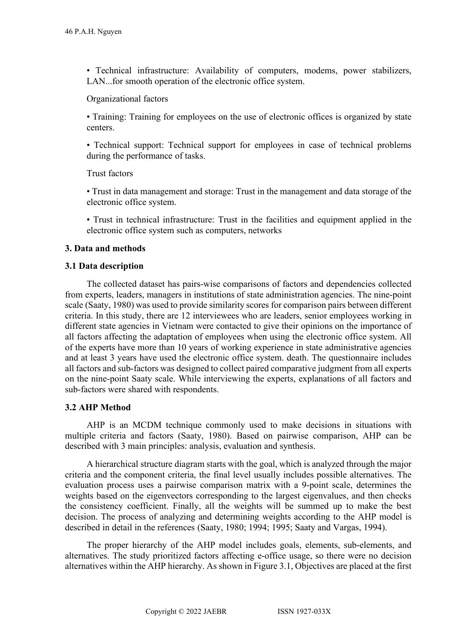• Technical infrastructure: Availability of computers, modems, power stabilizers, LAN...for smooth operation of the electronic office system.

# Organizational factors

• Training: Training for employees on the use of electronic offices is organized by state centers.

• Technical support: Technical support for employees in case of technical problems during the performance of tasks.

# Trust factors

• Trust in data management and storage: Trust in the management and data storage of the electronic office system.

• Trust in technical infrastructure: Trust in the facilities and equipment applied in the electronic office system such as computers, networks

# **3. Data and methods**

# **3.1 Data description**

The collected dataset has pairs-wise comparisons of factors and dependencies collected from experts, leaders, managers in institutions of state administration agencies. The nine-point scale (Saaty, 1980) was used to provide similarity scores for comparison pairs between different criteria. In this study, there are 12 interviewees who are leaders, senior employees working in different state agencies in Vietnam were contacted to give their opinions on the importance of all factors affecting the adaptation of employees when using the electronic office system. All of the experts have more than 10 years of working experience in state administrative agencies and at least 3 years have used the electronic office system. death. The questionnaire includes all factors and sub-factors was designed to collect paired comparative judgment from all experts on the nine-point Saaty scale. While interviewing the experts, explanations of all factors and sub-factors were shared with respondents.

# **3.2 AHP Method**

AHP is an MCDM technique commonly used to make decisions in situations with multiple criteria and factors (Saaty, 1980). Based on pairwise comparison, AHP can be described with 3 main principles: analysis, evaluation and synthesis.

A hierarchical structure diagram starts with the goal, which is analyzed through the major criteria and the component criteria, the final level usually includes possible alternatives. The evaluation process uses a pairwise comparison matrix with a 9-point scale, determines the weights based on the eigenvectors corresponding to the largest eigenvalues, and then checks the consistency coefficient. Finally, all the weights will be summed up to make the best decision. The process of analyzing and determining weights according to the AHP model is described in detail in the references (Saaty, 1980; 1994; 1995; Saaty and Vargas, 1994).

The proper hierarchy of the AHP model includes goals, elements, sub-elements, and alternatives. The study prioritized factors affecting e-office usage, so there were no decision alternatives within the AHP hierarchy. As shown in Figure 3.1, Objectives are placed at the first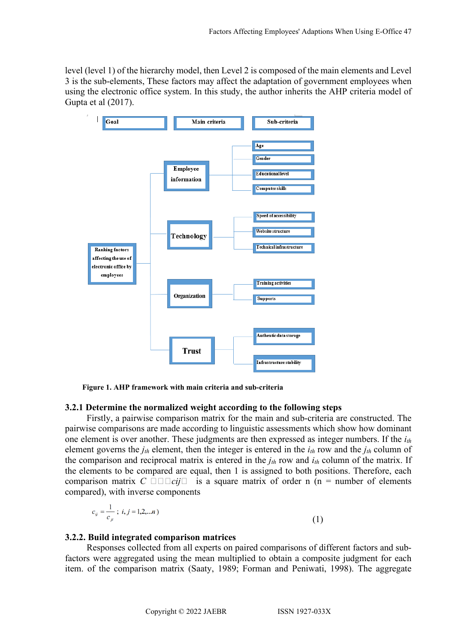level (level 1) of the hierarchy model, then Level 2 is composed of the main elements and Level 3 is the sub-elements, These factors may affect the adaptation of government employees when using the electronic office system. In this study, the author inherits the AHP criteria model of Gupta et al (2017).



**Figure 1. AHP framework with main criteria and sub-criteria**

# **3.2.1 Determine the normalized weight according to the following steps**

Firstly, a pairwise comparison matrix for the main and sub-criteria are constructed. The pairwise comparisons are made according to linguistic assessments which show how dominant one element is over another. These judgments are then expressed as integer numbers. If the *ith* element governs the *jth* element, then the integer is entered in the *ith* row and the *jth* column of the comparison and reciprocal matrix is entered in the *jth* row and *ith* column of the matrix. If the elements to be compared are equal, then 1 is assigned to both positions. Therefore, each comparison matrix  $C \square \square \square cij \square$  is a square matrix of order n (n = number of elements compared), with inverse components

$$
c_{ij} = \frac{1}{c_{ji}}; i, j = 1, 2, \dots n
$$
\n(1)

### **3.2.2. Build integrated comparison matrices**

Responses collected from all experts on paired comparisons of different factors and subfactors were aggregated using the mean multiplied to obtain a composite judgment for each item. of the comparison matrix (Saaty, 1989; Forman and Peniwati, 1998). The aggregate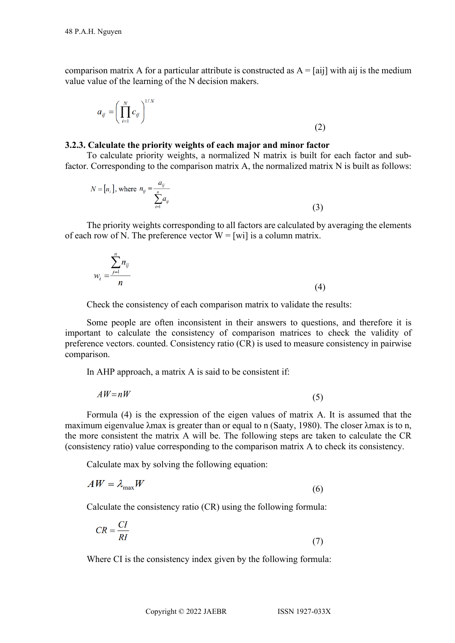comparison matrix A for a particular attribute is constructed as  $A = [ai]$  with aij is the medium value value of the learning of the N decision makers.

$$
a_{ij} = \left(\prod_{i=1}^{N} c_{ij}\right)^{1/N} \tag{2}
$$

### **3.2.3. Calculate the priority weights of each major and minor factor**

To calculate priority weights, a normalized N matrix is built for each factor and subfactor. Corresponding to the comparison matrix A, the normalized matrix N is built as follows:

$$
N = [n_i], \text{ where } n_{ij} = \frac{a_{ij}}{\sum_{i=1}^{n} a_{ij}} \tag{3}
$$

The priority weights corresponding to all factors are calculated by averaging the elements of each row of N. The preference vector  $W = [wi]$  is a column matrix.

$$
w_i = \frac{\sum_{j=1}^n n_{ij}}{n} \tag{4}
$$

Check the consistency of each comparison matrix to validate the results:

Some people are often inconsistent in their answers to questions, and therefore it is important to calculate the consistency of comparison matrices to check the validity of preference vectors. counted. Consistency ratio (CR) is used to measure consistency in pairwise comparison.

In AHP approach, a matrix A is said to be consistent if:

$$
AW = nW \tag{5}
$$

Formula (4) is the expression of the eigen values of matrix A. It is assumed that the maximum eigenvalue λmax is greater than or equal to n (Saaty, 1980). The closer λmax is to n, the more consistent the matrix A will be. The following steps are taken to calculate the CR (consistency ratio) value corresponding to the comparison matrix A to check its consistency.

Calculate max by solving the following equation:

$$
AW = \lambda_{\text{max}} W \tag{6}
$$

Calculate the consistency ratio (CR) using the following formula:

$$
CR = \frac{CI}{RI} \tag{7}
$$

Where CI is the consistency index given by the following formula: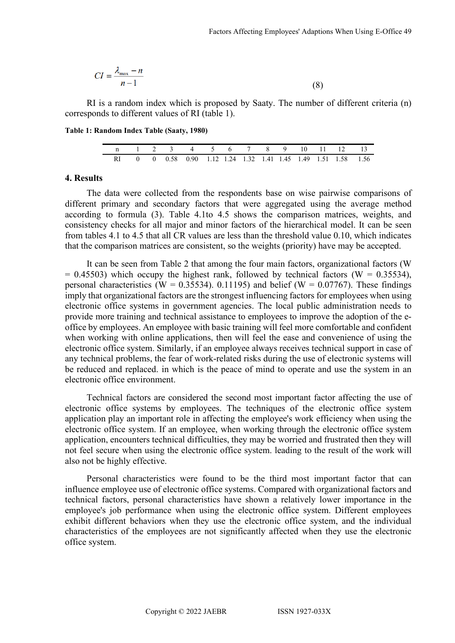$$
CI = \frac{\lambda_{\text{max}} - n}{n - 1} \tag{8}
$$

RI is a random index which is proposed by Saaty. The number of different criteria (n) corresponds to different values of RI (table 1).

**Table 1: Random Index Table (Saaty, 1980)**

| n 1 2 3 4 5 6 7 8 9 10 11 12 13                               |  |  |  |  |  |  |  |
|---------------------------------------------------------------|--|--|--|--|--|--|--|
| RI 0 0 0.58 0.90 1.12 1.24 1.32 1.41 1.45 1.49 1.51 1.58 1.56 |  |  |  |  |  |  |  |

#### **4. Results**

The data were collected from the respondents base on wise pairwise comparisons of different primary and secondary factors that were aggregated using the average method according to formula (3). Table 4.1to 4.5 shows the comparison matrices, weights, and consistency checks for all major and minor factors of the hierarchical model. It can be seen from tables 4.1 to 4.5 that all CR values are less than the threshold value 0.10, which indicates that the comparison matrices are consistent, so the weights (priority) have may be accepted.

It can be seen from Table 2 that among the four main factors, organizational factors (W  $= 0.45503$ ) which occupy the highest rank, followed by technical factors (W  $= 0.35534$ ), personal characteristics (W = 0.35534). 0.11195) and belief (W = 0.07767). These findings imply that organizational factors are the strongest influencing factors for employees when using electronic office systems in government agencies. The local public administration needs to provide more training and technical assistance to employees to improve the adoption of the eoffice by employees. An employee with basic training will feel more comfortable and confident when working with online applications, then will feel the ease and convenience of using the electronic office system. Similarly, if an employee always receives technical support in case of any technical problems, the fear of work-related risks during the use of electronic systems will be reduced and replaced. in which is the peace of mind to operate and use the system in an electronic office environment.

Technical factors are considered the second most important factor affecting the use of electronic office systems by employees. The techniques of the electronic office system application play an important role in affecting the employee's work efficiency when using the electronic office system. If an employee, when working through the electronic office system application, encounters technical difficulties, they may be worried and frustrated then they will not feel secure when using the electronic office system. leading to the result of the work will also not be highly effective.

Personal characteristics were found to be the third most important factor that can influence employee use of electronic office systems. Compared with organizational factors and technical factors, personal characteristics have shown a relatively lower importance in the employee's job performance when using the electronic office system. Different employees exhibit different behaviors when they use the electronic office system, and the individual characteristics of the employees are not significantly affected when they use the electronic office system.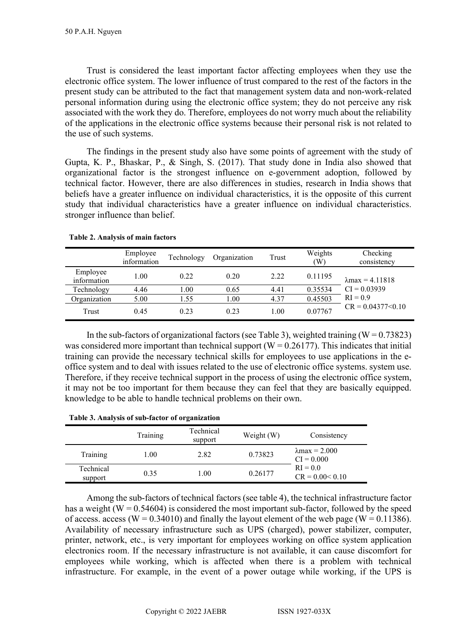Trust is considered the least important factor affecting employees when they use the electronic office system. The lower influence of trust compared to the rest of the factors in the present study can be attributed to the fact that management system data and non-work-related personal information during using the electronic office system; they do not perceive any risk associated with the work they do. Therefore, employees do not worry much about the reliability of the applications in the electronic office systems because their personal risk is not related to the use of such systems.

The findings in the present study also have some points of agreement with the study of Gupta, K. P., Bhaskar, P., & Singh, S. (2017). That study done in India also showed that organizational factor is the strongest influence on e-government adoption, followed by technical factor. However, there are also differences in studies, research in India shows that beliefs have a greater influence on individual characteristics, it is the opposite of this current study that individual characteristics have a greater influence on individual characteristics. stronger influence than belief.

|                         | Employee<br>information | Technology | Organization | Trust | Weights<br>(W) | Checking<br>consistency |
|-------------------------|-------------------------|------------|--------------|-------|----------------|-------------------------|
| Employee<br>information | 1.00                    | 0.22       | 0.20         | 2.22  | 0.11195        | $\lambda$ max = 4.11818 |
| Technology              | 4.46                    | 1.00       | 0.65         | 4.41  | 0.35534        | $CI = 0.03939$          |
| Organization            | 5.00                    | 1.55       | 1.00         | 4.37  | 0.45503        | $RI = 0.9$              |
| Trust                   | 0.45                    | 0.23       | 0.23         | 1.00  | 0.07767        | $CR = 0.04377 \le 0.10$ |

### **Table 2. Analysis of main factors**

In the sub-factors of organizational factors (see Table 3), weighted training  $(W = 0.73823)$ was considered more important than technical support ( $W = 0.26177$ ). This indicates that initial training can provide the necessary technical skills for employees to use applications in the eoffice system and to deal with issues related to the use of electronic office systems. system use. Therefore, if they receive technical support in the process of using the electronic office system, it may not be too important for them because they can feel that they are basically equipped. knowledge to be able to handle technical problems on their own.

|                      | Training | Technical<br>support | Weight (W) | Consistency                           |
|----------------------|----------|----------------------|------------|---------------------------------------|
| Training             | 1.00     | 2.82                 | 0.73823    | $\lambda$ max = 2.000<br>$CI = 0.000$ |
| Technical<br>support | 0.35     | 1.00                 | 0.26177    | $RI = 0.0$<br>$CR = 0.00 < 0.10$      |

Among the sub-factors of technical factors (see table 4), the technical infrastructure factor has a weight ( $W = 0.54604$ ) is considered the most important sub-factor, followed by the speed of access. access (W =  $0.34010$ ) and finally the layout element of the web page (W =  $0.11386$ ). Availability of necessary infrastructure such as UPS (charged), power stabilizer, computer, printer, network, etc., is very important for employees working on office system application electronics room. If the necessary infrastructure is not available, it can cause discomfort for employees while working, which is affected when there is a problem with technical infrastructure. For example, in the event of a power outage while working, if the UPS is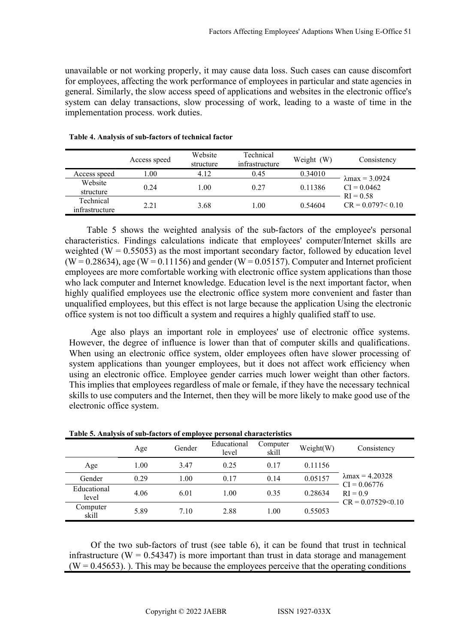unavailable or not working properly, it may cause data loss. Such cases can cause discomfort for employees, affecting the work performance of employees in particular and state agencies in general. Similarly, the slow access speed of applications and websites in the electronic office's system can delay transactions, slow processing of work, leading to a waste of time in the implementation process. work duties.

|                             | Access speed | Website<br>structure | Technical<br>infrastructure | Weight<br>(W) | Consistency                  |
|-----------------------------|--------------|----------------------|-----------------------------|---------------|------------------------------|
| Access speed                | 0.01         | 4.12                 | 0.45                        | 0.34010       | $\lambda$ max = 3.0924       |
| Website<br>structure        | 0.24         | l.00                 | 0.27                        | 0.11386       | $CI = 0.0462$<br>$RI = 0.58$ |
| Technical<br>infrastructure | 2.21         | 3.68                 | $1.00\,$                    | 0.54604       | $CR = 0.0797 < 0.10$         |

### **Table 4. Analysis of sub-factors of technical factor**

Table 5 shows the weighted analysis of the sub-factors of the employee's personal characteristics. Findings calculations indicate that employees' computer/Internet skills are weighted ( $W = 0.55053$ ) as the most important secondary factor, followed by education level  $(W = 0.28634)$ , age  $(W = 0.11156)$  and gender  $(W = 0.05157)$ . Computer and Internet proficient employees are more comfortable working with electronic office system applications than those who lack computer and Internet knowledge. Education level is the next important factor, when highly qualified employees use the electronic office system more convenient and faster than unqualified employees, but this effect is not large because the application Using the electronic office system is not too difficult a system and requires a highly qualified staff to use.

Age also plays an important role in employees' use of electronic office systems. However, the degree of influence is lower than that of computer skills and qualifications. When using an electronic office system, older employees often have slower processing of system applications than younger employees, but it does not affect work efficiency when using an electronic office. Employee gender carries much lower weight than other factors. This implies that employees regardless of male or female, if they have the necessary technical skills to use computers and the Internet, then they will be more likely to make good use of the electronic office system.

| Table 9. Thiatysis of sub-factors of employee personal enaracteristics |      |        |                      |                   |           |                              |
|------------------------------------------------------------------------|------|--------|----------------------|-------------------|-----------|------------------------------|
|                                                                        | Age  | Gender | Educational<br>level | Computer<br>skill | Weight(W) | Consistency                  |
| Age                                                                    | 1.00 | 3.47   | 0.25                 | 0.17              | 0.11156   |                              |
| Gender                                                                 | 0.29 | 1.00   | 0.17                 | 0.14              | 0.05157   | $\lambda$ max = 4.20328      |
| Educational<br>level                                                   | 4.06 | 6.01   | 1.00                 | 0.35              | 0.28634   | $CI = 0.06776$<br>$RI = 0.9$ |
| Computer<br>skill                                                      | 5.89 | 7.10   | 2.88                 | 1.00              | 0.55053   | $CR = 0.07529 \le 0.10$      |

| Table 5. Analysis of sub-factors of employee personal characteristics |  |  |
|-----------------------------------------------------------------------|--|--|
|-----------------------------------------------------------------------|--|--|

Of the two sub-factors of trust (see table 6), it can be found that trust in technical infrastructure ( $W = 0.54347$ ) is more important than trust in data storage and management  $(W = 0.45653)$ . This may be because the employees perceive that the operating conditions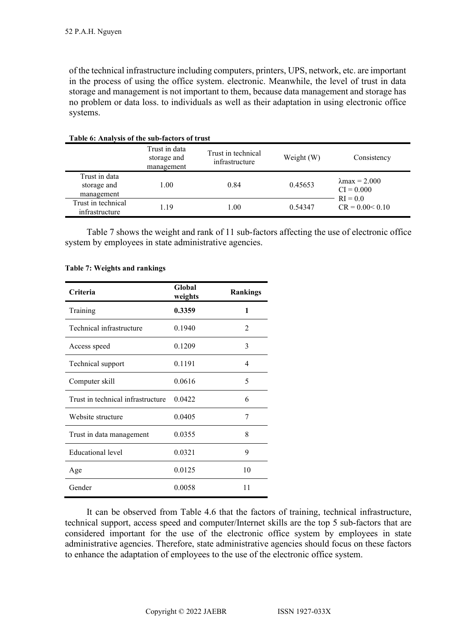of the technical infrastructure including computers, printers, UPS, network, etc. are important in the process of using the office system. electronic. Meanwhile, the level of trust in data storage and management is not important to them, because data management and storage has no problem or data loss. to individuals as well as their adaptation in using electronic office systems.

| THERE OF THIS CHOOL CHO SUB THOUGHT OF IT WAS |                                            |                                      |            |                                                     |
|-----------------------------------------------|--------------------------------------------|--------------------------------------|------------|-----------------------------------------------------|
|                                               | Trust in data<br>storage and<br>management | Trust in technical<br>infrastructure | Weight (W) | Consistency                                         |
| Trust in data<br>storage and<br>management    | 1.00                                       | 0.84                                 | 0.45653    | $\lambda$ max = 2.000<br>$CI = 0.000$<br>$RI = 0.0$ |
| Trust in technical<br>infrastructure          | 1.19                                       | 1.00                                 | 0.54347    | $CR = 0.00 < 0.10$                                  |

# **Table 6: Analysis of the sub-factors of trust**

Table 7 shows the weight and rank of 11 sub-factors affecting the use of electronic office system by employees in state administrative agencies.

| Criteria                          | Global<br>weights | <b>Rankings</b> |
|-----------------------------------|-------------------|-----------------|
| Training                          | 0.3359            | 1               |
| Technical infrastructure          | 0.1940            | 2               |
| Access speed                      | 0.1209            | 3               |
| Technical support                 | 0.1191            | 4               |
| Computer skill                    | 0.0616            | 5               |
| Trust in technical infrastructure | 0.0422            | 6               |
| Website structure                 | 0.0405            | 7               |
| Trust in data management          | 0.0355            | 8               |
| <b>Educational</b> level          | 0.0321            | 9               |
| Age                               | 0.0125            | 10              |
| Gender                            | 0.0058            | 11              |

#### **Table 7: Weights and rankings**

It can be observed from Table 4.6 that the factors of training, technical infrastructure, technical support, access speed and computer/Internet skills are the top 5 sub-factors that are considered important for the use of the electronic office system by employees in state administrative agencies. Therefore, state administrative agencies should focus on these factors to enhance the adaptation of employees to the use of the electronic office system.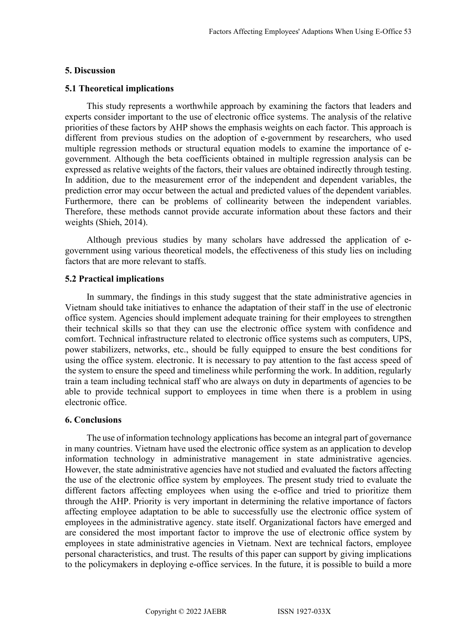### **5. Discussion**

### **5.1 Theoretical implications**

This study represents a worthwhile approach by examining the factors that leaders and experts consider important to the use of electronic office systems. The analysis of the relative priorities of these factors by AHP shows the emphasis weights on each factor. This approach is different from previous studies on the adoption of e-government by researchers, who used multiple regression methods or structural equation models to examine the importance of egovernment. Although the beta coefficients obtained in multiple regression analysis can be expressed as relative weights of the factors, their values are obtained indirectly through testing. In addition, due to the measurement error of the independent and dependent variables, the prediction error may occur between the actual and predicted values of the dependent variables. Furthermore, there can be problems of collinearity between the independent variables. Therefore, these methods cannot provide accurate information about these factors and their weights (Shieh, 2014).

Although previous studies by many scholars have addressed the application of egovernment using various theoretical models, the effectiveness of this study lies on including factors that are more relevant to staffs.

### **5.2 Practical implications**

In summary, the findings in this study suggest that the state administrative agencies in Vietnam should take initiatives to enhance the adaptation of their staff in the use of electronic office system. Agencies should implement adequate training for their employees to strengthen their technical skills so that they can use the electronic office system with confidence and comfort. Technical infrastructure related to electronic office systems such as computers, UPS, power stabilizers, networks, etc., should be fully equipped to ensure the best conditions for using the office system. electronic. It is necessary to pay attention to the fast access speed of the system to ensure the speed and timeliness while performing the work. In addition, regularly train a team including technical staff who are always on duty in departments of agencies to be able to provide technical support to employees in time when there is a problem in using electronic office.

#### **6. Conclusions**

The use of information technology applications has become an integral part of governance in many countries. Vietnam have used the electronic office system as an application to develop information technology in administrative management in state administrative agencies. However, the state administrative agencies have not studied and evaluated the factors affecting the use of the electronic office system by employees. The present study tried to evaluate the different factors affecting employees when using the e-office and tried to prioritize them through the AHP. Priority is very important in determining the relative importance of factors affecting employee adaptation to be able to successfully use the electronic office system of employees in the administrative agency. state itself. Organizational factors have emerged and are considered the most important factor to improve the use of electronic office system by employees in state administrative agencies in Vietnam. Next are technical factors, employee personal characteristics, and trust. The results of this paper can support by giving implications to the policymakers in deploying e-office services. In the future, it is possible to build a more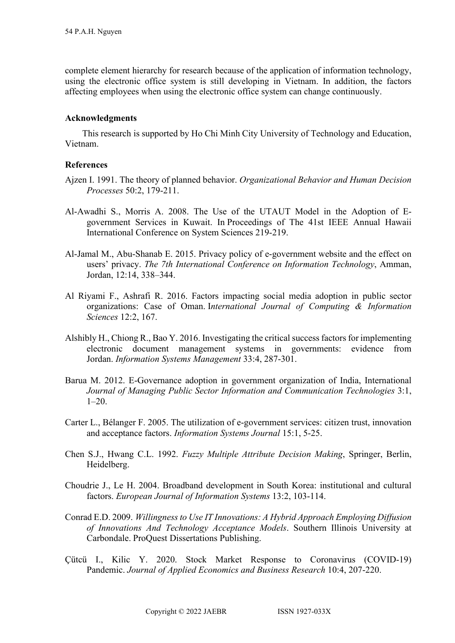complete element hierarchy for research because of the application of information technology, using the electronic office system is still developing in Vietnam. In addition, the factors affecting employees when using the electronic office system can change continuously.

### **Acknowledgments**

This research is supported by Ho Chi Minh City University of Technology and Education, Vietnam.

# **References**

- Ajzen I. 1991. The theory of planned behavior. *Organizational Behavior and Human Decision Processes* 50:2, 179-211.
- Al-Awadhi S., Morris A. 2008. The Use of the UTAUT Model in the Adoption of Egovernment Services in Kuwait. In Proceedings of The 41st IEEE Annual Hawaii International Conference on System Sciences 219-219.
- Al-Jamal M., Abu-Shanab E. 2015. Privacy policy of e-government website and the effect on users' privacy. *The 7th International Conference on Information Technology*, Amman, Jordan, 12:14, 338–344.
- Al Riyami F., Ashrafi R. 2016. Factors impacting social media adoption in public sector organizations: Case of Oman. I*nternational Journal of Computing & Information Sciences* 12:2, 167.
- Alshibly H., Chiong R., Bao Y. 2016. Investigating the critical success factors for implementing electronic document management systems in governments: evidence from Jordan. *Information Systems Management* 33:4, 287-301.
- Barua M. 2012. E-Governance adoption in government organization of India, International *Journal of Managing Public Sector Information and Communication Technologies* 3:1,  $1-20.$
- Carter L., Bélanger F. 2005. The utilization of e‐government services: citizen trust, innovation and acceptance factors. *Information Systems Journal* 15:1, 5-25.
- Chen S.J., Hwang C.L. 1992. *Fuzzy Multiple Attribute Decision Making*, Springer, Berlin, Heidelberg.
- Choudrie J., Le H. 2004. Broadband development in South Korea: institutional and cultural factors. *European Journal of Information Systems* 13:2, 103-114.
- Conrad E.D. 2009. *Willingness to Use IT Innovations: A Hybrid Approach Employing Diffusion of Innovations And Technology Acceptance Models*. Southern Illinois University at Carbondale. ProQuest Dissertations Publishing.
- Çütcü I., Kilic Y. 2020. Stock Market Response to Coronavirus (COVID-19) Pandemic. *Journal of Applied Economics and Business Research* 10:4, 207-220.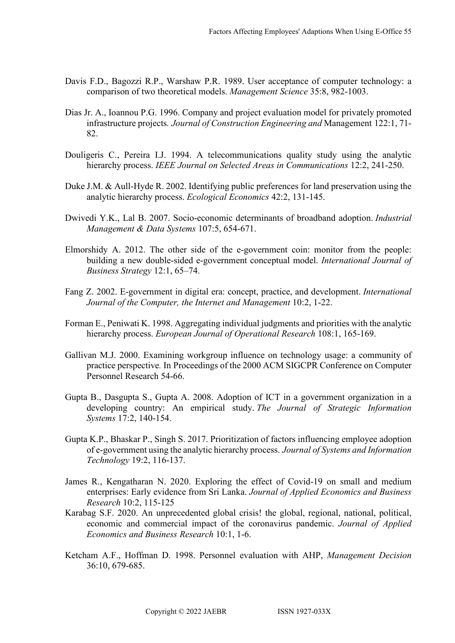- Davis F.D., Bagozzi R.P., Warshaw P.R. 1989. User acceptance of computer technology: a comparison of two theoretical models. *Management Science* 35:8, 982-1003.
- Dias Jr. A., Ioannou P.G. 1996. Company and project evaluation model for privately promoted infrastructure projects*. Journal of Construction Engineering and* Management 122:1, 71- 82.
- Douligeris C., Pereira I.J. 1994. A telecommunications quality study using the analytic hierarchy process. *IEEE Journal on Selected Areas in Communications* 12:2, 241-250.
- Duke J.M. & Aull-Hyde R. 2002. Identifying public preferences for land preservation using the analytic hierarchy process. *Ecological Economics* 42:2, 131-145.
- Dwivedi Y.K., Lal B. 2007. Socio-economic determinants of broadband adoption. *Industrial Management & Data Systems* 107:5, 654-671.
- Elmorshidy A. 2012. The other side of the e-government coin: monitor from the people: building a new double-sided e-government conceptual model. *International Journal of Business Strategy* 12:1, 65–74.
- Fang Z. 2002. E-government in digital era: concept, practice, and development. *International Journal of the Computer, the Internet and Management* 10:2, 1-22.
- Forman E., Peniwati K. 1998. Aggregating individual judgments and priorities with the analytic hierarchy process. *European Journal of Operational Research* 108:1, 165-169.
- Gallivan M.J. 2000. Examining workgroup influence on technology usage: a community of practice perspective*.* In Proceedings of the 2000 ACM SIGCPR Conference on Computer Personnel Research 54-66.
- Gupta B., Dasgupta S., Gupta A. 2008. Adoption of ICT in a government organization in a developing country: An empirical study. *The Journal of Strategic Information Systems* 17:2, 140-154.
- Gupta K.P., Bhaskar P., Singh S. 2017. Prioritization of factors influencing employee adoption of e-government using the analytic hierarchy process. *Journal of Systems and Information Technology* 19:2, 116-137.
- James R., Kengatharan N. 2020. Exploring the effect of Covid-19 on small and medium enterprises: Early evidence from Sri Lanka. *Journal of Applied Economics and Business Research* 10:2, 115-125
- Karabag S.F. 2020. An unprecedented global crisis! the global, regional, national, political, economic and commercial impact of the coronavirus pandemic. *Journal of Applied Economics and Business Research* 10:1, 1-6.
- Ketcham A.F., Hoffman D. 1998. Personnel evaluation with AHP, *Management Decision* 36:10, 679-685.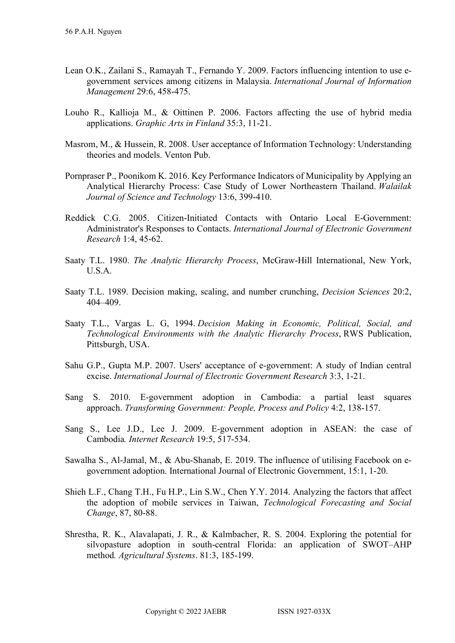- Lean O.K., Zailani S., Ramayah T., Fernando Y. 2009. Factors influencing intention to use egovernment services among citizens in Malaysia. *International Journal of Information Management* 29:6, 458-475.
- Louho R., Kallioja M., & Oittinen P. 2006. Factors affecting the use of hybrid media applications. *Graphic Arts in Finland* 35:3, 11-21.
- Masrom, M., & Hussein, R. 2008. User acceptance of Information Technology: Understanding theories and models. Venton Pub.
- Pornpraser P., Poonikom K. 2016. Key Performance Indicators of Municipality by Applying an Analytical Hierarchy Process: Case Study of Lower Northeastern Thailand. *Walailak Journal of Science and Technology* 13:6, 399-410.
- Reddick C.G. 2005. Citizen-Initiated Contacts with Ontario Local E-Government: Administrator's Responses to Contacts. *International Journal of Electronic Government Research* 1:4, 45-62.
- Saaty T.L. 1980. *The Analytic Hierarchy Process*, McGraw-Hill International, New York, U.S.A.
- Saaty T.L. 1989. Decision making, scaling, and number crunching, *Decision Sciences* 20:2, 404–409.
- Saaty T.L., Vargas L. G, 1994. *Decision Making in Economic, Political, Social, and Technological Environments with the Analytic Hierarchy Process*, RWS Publication, Pittsburgh, USA.
- Sahu G.P., Gupta M.P. 2007. Users' acceptance of e-government: A study of Indian central excise. *International Journal of Electronic Government Research* 3:3, 1-21.
- Sang S. 2010. E-government adoption in Cambodia: a partial least squares approach. *Transforming Government: People, Process and Policy* 4:2, 138-157.
- Sang S., Lee J.D., Lee J. 2009. E-government adoption in ASEAN: the case of Cambodia*. Internet Research* 19:5, 517-534.
- Sawalha S., Al-Jamal, M., & Abu-Shanab, E. 2019. The influence of utilising Facebook on egovernment adoption. International Journal of Electronic Government, 15:1, 1-20.
- Shieh L.F., Chang T.H., Fu H.P., Lin S.W., Chen Y.Y. 2014. Analyzing the factors that affect the adoption of mobile services in Taiwan, *Technological Forecasting and Social Change*, 87, 80-88.
- Shrestha, R. K., Alavalapati, J. R., & Kalmbacher, R. S. 2004. Exploring the potential for silvopasture adoption in south-central Florida: an application of SWOT–AHP method*. Agricultural Systems*. 81:3, 185-199.